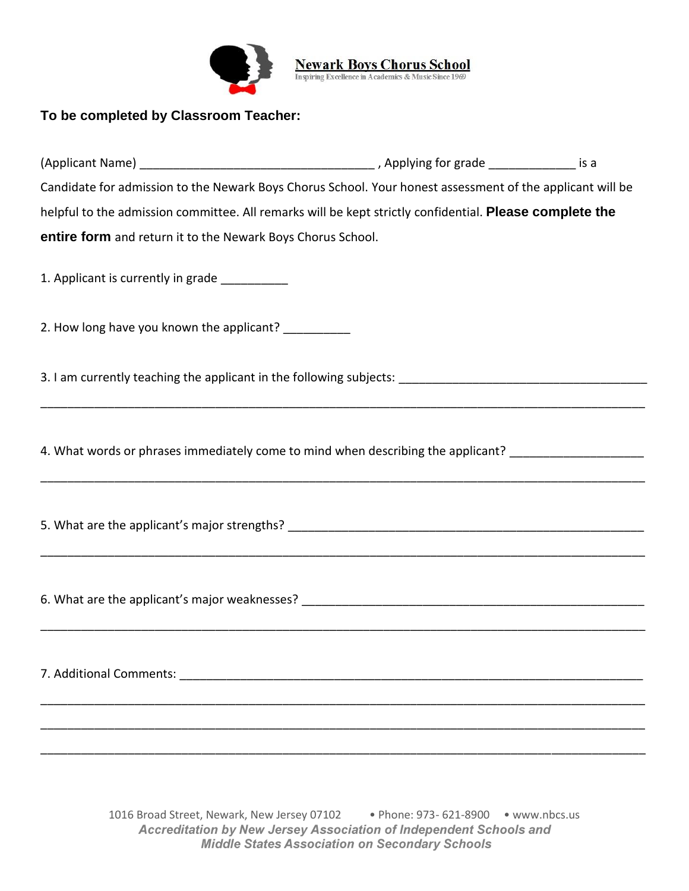

**Newark Boys Chorus School**<br>Inspiring Excellence in A cademics & Music Since 1969

## **To be completed by Classroom Teacher:**

| (Applicant Name)                                                                                               | , Applying for grade | is a |
|----------------------------------------------------------------------------------------------------------------|----------------------|------|
| Candidate for admission to the Newark Boys Chorus School. Your honest assessment of the applicant will be      |                      |      |
| helpful to the admission committee. All remarks will be kept strictly confidential. <b>Please complete the</b> |                      |      |
| entire form and return it to the Newark Boys Chorus School.                                                    |                      |      |

\_\_\_\_\_\_\_\_\_\_\_\_\_\_\_\_\_\_\_\_\_\_\_\_\_\_\_\_\_\_\_\_\_\_\_\_\_\_\_\_\_\_\_\_\_\_\_\_\_\_\_\_\_\_\_\_\_\_\_\_\_\_\_\_\_\_\_\_\_\_\_\_\_\_\_\_\_\_\_\_\_\_\_\_\_\_\_\_\_\_

\_\_\_\_\_\_\_\_\_\_\_\_\_\_\_\_\_\_\_\_\_\_\_\_\_\_\_\_\_\_\_\_\_\_\_\_\_\_\_\_\_\_\_\_\_\_\_\_\_\_\_\_\_\_\_\_\_\_\_\_\_\_\_\_\_\_\_\_\_\_\_\_\_\_\_\_\_\_\_\_\_\_\_\_\_\_\_\_\_\_

\_\_\_\_\_\_\_\_\_\_\_\_\_\_\_\_\_\_\_\_\_\_\_\_\_\_\_\_\_\_\_\_\_\_\_\_\_\_\_\_\_\_\_\_\_\_\_\_\_\_\_\_\_\_\_\_\_\_\_\_\_\_\_\_\_\_\_\_\_\_\_\_\_\_\_\_\_\_\_\_\_\_\_\_\_\_\_\_\_\_

\_\_\_\_\_\_\_\_\_\_\_\_\_\_\_\_\_\_\_\_\_\_\_\_\_\_\_\_\_\_\_\_\_\_\_\_\_\_\_\_\_\_\_\_\_\_\_\_\_\_\_\_\_\_\_\_\_\_\_\_\_\_\_\_\_\_\_\_\_\_\_\_\_\_\_\_\_\_\_\_\_\_\_\_\_\_\_\_\_\_

\_\_\_\_\_\_\_\_\_\_\_\_\_\_\_\_\_\_\_\_\_\_\_\_\_\_\_\_\_\_\_\_\_\_\_\_\_\_\_\_\_\_\_\_\_\_\_\_\_\_\_\_\_\_\_\_\_\_\_\_\_\_\_\_\_\_\_\_\_\_\_\_\_\_\_\_\_\_\_\_\_\_\_\_\_\_\_\_\_\_

\_\_\_\_\_\_\_\_\_\_\_\_\_\_\_\_\_\_\_\_\_\_\_\_\_\_\_\_\_\_\_\_\_\_\_\_\_\_\_\_\_\_\_\_\_\_\_\_\_\_\_\_\_\_\_\_\_\_\_\_\_\_\_\_\_\_\_\_\_\_\_\_\_\_\_\_\_\_\_\_\_\_\_\_\_\_\_\_\_\_

\_\_\_\_\_\_\_\_\_\_\_\_\_\_\_\_\_\_\_\_\_\_\_\_\_\_\_\_\_\_\_\_\_\_\_\_\_\_\_\_\_\_\_\_\_\_\_\_\_\_\_\_\_\_\_\_\_\_\_\_\_\_\_\_\_\_\_\_\_\_\_\_\_\_\_\_\_\_\_\_\_\_\_\_\_\_\_\_\_\_

1. Applicant is currently in grade \_\_\_\_\_\_\_\_\_\_

2. How long have you known the applicant? \_\_\_\_\_\_\_\_\_\_\_

3. I am currently teaching the applicant in the following subjects:

4. What words or phrases immediately come to mind when describing the applicant? \_\_\_\_\_\_\_\_\_\_\_\_\_\_\_\_\_\_\_

5. What are the applicant's major strengths?  $\blacksquare$ 

6. What are the applicant's major weaknesses? \_\_\_\_\_\_\_\_\_\_\_\_\_\_\_\_\_\_\_\_\_\_\_\_\_\_\_\_\_\_\_\_\_\_\_\_\_\_\_\_\_\_\_\_\_\_\_\_\_\_\_

7. Additional Comments:

1016 Broad Street, Newark, New Jersey 07102 • Phone: 973- 621-8900 • www.nbcs.us Accreditation by New Jersey Association of Independent Schools and **Middle States Association on Secondary Schools**